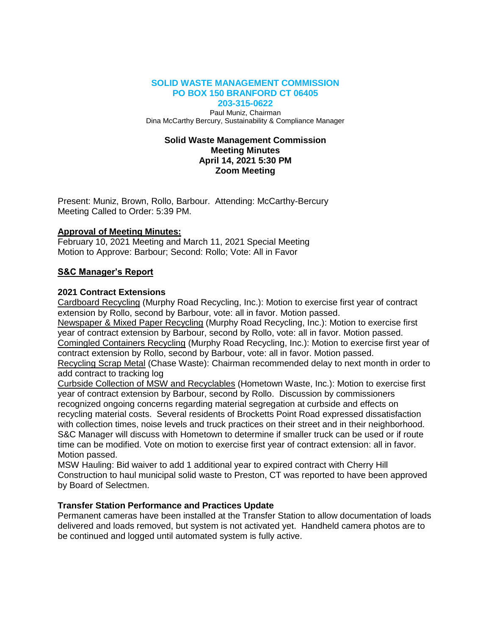#### **SOLID WASTE MANAGEMENT COMMISSION PO BOX 150 BRANFORD CT 06405 203-315-0622**

Paul Muniz, Chairman Dina McCarthy Bercury, Sustainability & Compliance Manager

### **Solid Waste Management Commission Meeting Minutes April 14, 2021 5:30 PM Zoom Meeting**

Present: Muniz, Brown, Rollo, Barbour. Attending: McCarthy-Bercury Meeting Called to Order: 5:39 PM.

### **Approval of Meeting Minutes:**

February 10, 2021 Meeting and March 11, 2021 Special Meeting Motion to Approve: Barbour; Second: Rollo; Vote: All in Favor

### **S&C Manager's Report**

### **2021 Contract Extensions**

Cardboard Recycling (Murphy Road Recycling, Inc.): Motion to exercise first year of contract extension by Rollo, second by Barbour, vote: all in favor. Motion passed.

Newspaper & Mixed Paper Recycling (Murphy Road Recycling, Inc.): Motion to exercise first year of contract extension by Barbour, second by Rollo, vote: all in favor. Motion passed. Comingled Containers Recycling (Murphy Road Recycling, Inc.): Motion to exercise first year of

contract extension by Rollo, second by Barbour, vote: all in favor. Motion passed. Recycling Scrap Metal (Chase Waste): Chairman recommended delay to next month in order to add contract to tracking log

Curbside Collection of MSW and Recyclables (Hometown Waste, Inc.): Motion to exercise first year of contract extension by Barbour, second by Rollo. Discussion by commissioners recognized ongoing concerns regarding material segregation at curbside and effects on recycling material costs. Several residents of Brocketts Point Road expressed dissatisfaction with collection times, noise levels and truck practices on their street and in their neighborhood. S&C Manager will discuss with Hometown to determine if smaller truck can be used or if route time can be modified. Vote on motion to exercise first year of contract extension: all in favor. Motion passed.

MSW Hauling: Bid waiver to add 1 additional year to expired contract with Cherry Hill Construction to haul municipal solid waste to Preston, CT was reported to have been approved by Board of Selectmen.

# **Transfer Station Performance and Practices Update**

Permanent cameras have been installed at the Transfer Station to allow documentation of loads delivered and loads removed, but system is not activated yet. Handheld camera photos are to be continued and logged until automated system is fully active.